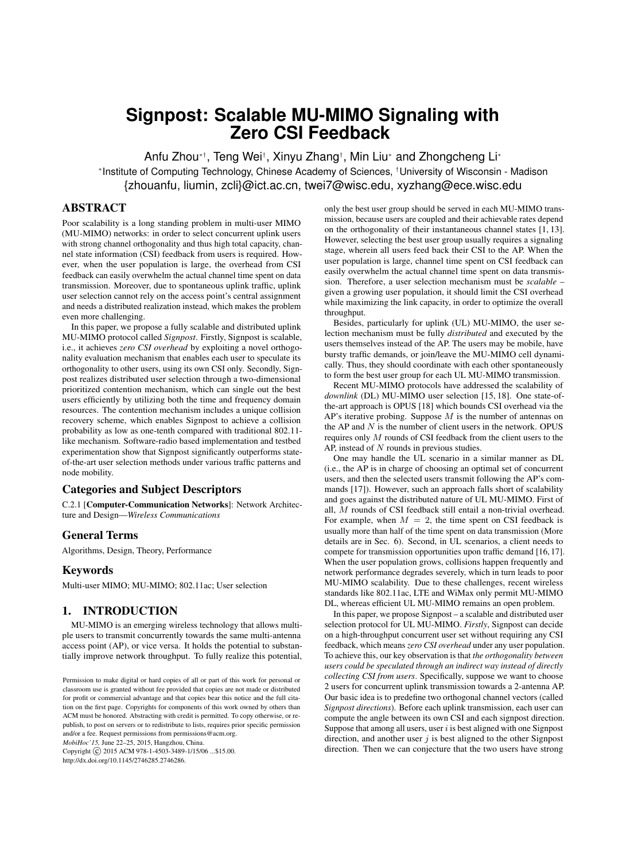# **Signpost: Scalable MU-MIMO Signaling with Zero CSI Feedback**

Anfu Zhou∗†, Teng Wei†, Xinyu Zhang†, Min Liu<sup>∗</sup> and Zhongcheng Li<sup>∗</sup> <sup>∗</sup>Institute of Computing Technology, Chinese Academy of Sciences, †University of Wisconsin - Madison {zhouanfu, liumin, zcli}@ict.ac.cn, twei7@wisc.edu, xyzhang@ece.wisc.edu

# ABSTRACT

Poor scalability is a long standing problem in multi-user MIMO (MU-MIMO) networks: in order to select concurrent uplink users with strong channel orthogonality and thus high total capacity, channel state information (CSI) feedback from users is required. However, when the user population is large, the overhead from CSI feedback can easily overwhelm the actual channel time spent on data transmission. Moreover, due to spontaneous uplink traffic, uplink user selection cannot rely on the access point's central assignment and needs a distributed realization instead, which makes the problem even more challenging.

In this paper, we propose a fully scalable and distributed uplink MU-MIMO protocol called *Signpost*. Firstly, Signpost is scalable, i.e., it achieves *zero CSI overhead* by exploiting a novel orthogonality evaluation mechanism that enables each user to speculate its orthogonality to other users, using its own CSI only. Secondly, Signpost realizes distributed user selection through a two-dimensional prioritized contention mechanism, which can single out the best users efficiently by utilizing both the time and frequency domain resources. The contention mechanism includes a unique collision recovery scheme, which enables Signpost to achieve a collision probability as low as one-tenth compared with traditional 802.11 like mechanism. Software-radio based implementation and testbed experimentation show that Signpost significantly outperforms stateof-the-art user selection methods under various traffic patterns and node mobility.

# Categories and Subject Descriptors

C.2.1 [Computer-Communication Networks]: Network Architecture and Design—*Wireless Communications*

# General Terms

Algorithms, Design, Theory, Performance

# Keywords

Multi-user MIMO; MU-MIMO; 802.11ac; User selection

# 1. INTRODUCTION

MU-MIMO is an emerging wireless technology that allows multiple users to transmit concurrently towards the same multi-antenna access point (AP), or vice versa. It holds the potential to substantially improve network throughput. To fully realize this potential,

*MobiHoc'15,* June 22–25, 2015, Hangzhou, China.

Copyright C 2015 ACM 978-1-4503-3489-1/15/06 ... \$15.00. http://dx.doi.org/10.1145/2746285.2746286.

only the best user group should be served in each MU-MIMO transmission, because users are coupled and their achievable rates depend on the orthogonality of their instantaneous channel states [1, 13]. However, selecting the best user group usually requires a signaling stage, wherein all users feed back their CSI to the AP. When the user population is large, channel time spent on CSI feedback can easily overwhelm the actual channel time spent on data transmission. Therefore, a user selection mechanism must be *scalable* – given a growing user population, it should limit the CSI overhead while maximizing the link capacity, in order to optimize the overall throughput.

Besides, particularly for uplink (UL) MU-MIMO, the user selection mechanism must be fully *distributed* and executed by the users themselves instead of the AP. The users may be mobile, have bursty traffic demands, or join/leave the MU-MIMO cell dynamically. Thus, they should coordinate with each other spontaneously to form the best user group for each UL MU-MIMO transmission.

Recent MU-MIMO protocols have addressed the scalability of *downlink* (DL) MU-MIMO user selection [15, 18]. One state-ofthe-art approach is OPUS [18] which bounds CSI overhead via the  $AP's$  iterative probing. Suppose M is the number of antennas on the AP and  $N$  is the number of client users in the network. OPUS requires only M rounds of CSI feedback from the client users to the AP, instead of N rounds in previous studies.

One may handle the UL scenario in a similar manner as DL (i.e., the AP is in charge of choosing an optimal set of concurrent users, and then the selected users transmit following the AP's commands [17]). However, such an approach falls short of scalability and goes against the distributed nature of UL MU-MIMO. First of all, M rounds of CSI feedback still entail a non-trivial overhead. For example, when  $M = 2$ , the time spent on CSI feedback is usually more than half of the time spent on data transmission (More details are in Sec. 6). Second, in UL scenarios, a client needs to compete for transmission opportunities upon traffic demand [16, 17]. When the user population grows, collisions happen frequently and network performance degrades severely, which in turn leads to poor MU-MIMO scalability. Due to these challenges, recent wireless standards like 802.11ac, LTE and WiMax only permit MU-MIMO DL, whereas efficient UL MU-MIMO remains an open problem.

In this paper, we propose Signpost – a scalable and distributed user selection protocol for UL MU-MIMO. *Firstly*, Signpost can decide on a high-throughput concurrent user set without requiring any CSI feedback, which means *zero CSI overhead* under any user population. To achieve this, our key observation is that *the orthogonality between users could be speculated through an indirect way instead of directly collecting CSI from users*. Specifically, suppose we want to choose 2 users for concurrent uplink transmission towards a 2-antenna AP. Our basic idea is to predefine two orthogonal channel vectors (called *Signpost directions*). Before each uplink transmission, each user can compute the angle between its own CSI and each signpost direction. Suppose that among all users, user  $i$  is best aligned with one Signpost direction, and another user  $j$  is best aligned to the other Signpost direction. Then we can conjecture that the two users have strong

Permission to make digital or hard copies of all or part of this work for personal or classroom use is granted without fee provided that copies are not made or distributed for profit or commercial advantage and that copies bear this notice and the full citation on the first page. Copyrights for components of this work owned by others than ACM must be honored. Abstracting with credit is permitted. To copy otherwise, or republish, to post on servers or to redistribute to lists, requires prior specific permission and/or a fee. Request permissions from permissions@acm.org.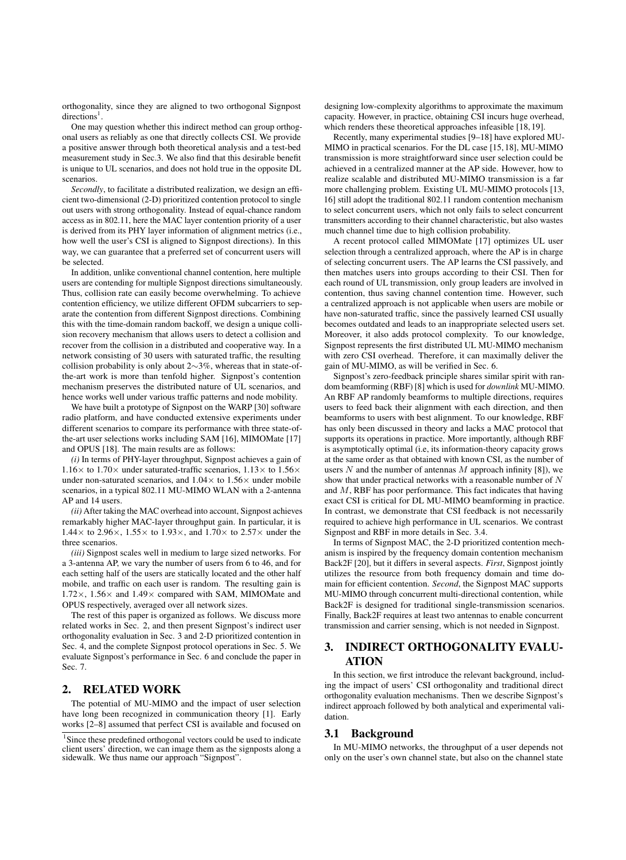orthogonality, since they are aligned to two orthogonal Signpost  $directions<sup>1</sup>$ .

One may question whether this indirect method can group orthogonal users as reliably as one that directly collects CSI. We provide a positive answer through both theoretical analysis and a test-bed measurement study in Sec.3. We also find that this desirable benefit is unique to UL scenarios, and does not hold true in the opposite DL scenarios.

*Secondly*, to facilitate a distributed realization, we design an efficient two-dimensional (2-D) prioritized contention protocol to single out users with strong orthogonality. Instead of equal-chance random access as in 802.11, here the MAC layer contention priority of a user is derived from its PHY layer information of alignment metrics (i.e., how well the user's CSI is aligned to Signpost directions). In this way, we can guarantee that a preferred set of concurrent users will be selected.

In addition, unlike conventional channel contention, here multiple users are contending for multiple Signpost directions simultaneously. Thus, collision rate can easily become overwhelming. To achieve contention efficiency, we utilize different OFDM subcarriers to separate the contention from different Signpost directions. Combining this with the time-domain random backoff, we design a unique collision recovery mechanism that allows users to detect a collision and recover from the collision in a distributed and cooperative way. In a network consisting of 30 users with saturated traffic, the resulting collision probability is only about 2∼3%, whereas that in state-ofthe-art work is more than tenfold higher. Signpost's contention mechanism preserves the distributed nature of UL scenarios, and hence works well under various traffic patterns and node mobility.

We have built a prototype of Signpost on the WARP [30] software radio platform, and have conducted extensive experiments under different scenarios to compare its performance with three state-ofthe-art user selections works including SAM [16], MIMOMate [17] and OPUS [18]. The main results are as follows:

*(i)* In terms of PHY-layer throughput, Signpost achieves a gain of  $1.16\times$  to 1.70 $\times$  under saturated-traffic scenarios,  $1.13\times$  to  $1.56\times$ under non-saturated scenarios, and  $1.04 \times$  to  $1.56 \times$  under mobile scenarios, in a typical 802.11 MU-MIMO WLAN with a 2-antenna AP and 14 users.

*(ii)* After taking the MAC overhead into account, Signpost achieves remarkably higher MAC-layer throughput gain. In particular, it is 1.44 $\times$  to 2.96 $\times$ , 1.55 $\times$  to 1.93 $\times$ , and 1.70 $\times$  to 2.57 $\times$  under the three scenarios.

*(iii)* Signpost scales well in medium to large sized networks. For a 3-antenna AP, we vary the number of users from 6 to 46, and for each setting half of the users are statically located and the other half mobile, and traffic on each user is random. The resulting gain is  $1.72\times$ ,  $1.56\times$  and  $1.49\times$  compared with SAM, MIMOMate and OPUS respectively, averaged over all network sizes.

The rest of this paper is organized as follows. We discuss more related works in Sec. 2, and then present Signpost's indirect user orthogonality evaluation in Sec. 3 and 2-D prioritized contention in Sec. 4, and the complete Signpost protocol operations in Sec. 5. We evaluate Signpost's performance in Sec. 6 and conclude the paper in Sec. 7.

# 2. RELATED WORK

The potential of MU-MIMO and the impact of user selection have long been recognized in communication theory [1]. Early works [2–8] assumed that perfect CSI is available and focused on designing low-complexity algorithms to approximate the maximum capacity. However, in practice, obtaining CSI incurs huge overhead, which renders these theoretical approaches infeasible [18, 19].

Recently, many experimental studies [9–18] have explored MU-MIMO in practical scenarios. For the DL case [15, 18], MU-MIMO transmission is more straightforward since user selection could be achieved in a centralized manner at the AP side. However, how to realize scalable and distributed MU-MIMO transmission is a far more challenging problem. Existing UL MU-MIMO protocols [13, 16] still adopt the traditional 802.11 random contention mechanism to select concurrent users, which not only fails to select concurrent transmitters according to their channel characteristic, but also wastes much channel time due to high collision probability.

A recent protocol called MIMOMate [17] optimizes UL user selection through a centralized approach, where the AP is in charge of selecting concurrent users. The AP learns the CSI passively, and then matches users into groups according to their CSI. Then for each round of UL transmission, only group leaders are involved in contention, thus saving channel contention time. However, such a centralized approach is not applicable when users are mobile or have non-saturated traffic, since the passively learned CSI usually becomes outdated and leads to an inappropriate selected users set. Moreover, it also adds protocol complexity. To our knowledge, Signpost represents the first distributed UL MU-MIMO mechanism with zero CSI overhead. Therefore, it can maximally deliver the gain of MU-MIMO, as will be verified in Sec. 6.

Signpost's zero-feedback principle shares similar spirit with random beamforming (RBF) [8] which is used for *downlink* MU-MIMO. An RBF AP randomly beamforms to multiple directions, requires users to feed back their alignment with each direction, and then beamforms to users with best alignment. To our knowledge, RBF has only been discussed in theory and lacks a MAC protocol that supports its operations in practice. More importantly, although RBF is asymptotically optimal (i.e, its information-theory capacity grows at the same order as that obtained with known CSI, as the number of users  $N$  and the number of antennas  $M$  approach infinity [8]), we show that under practical networks with a reasonable number of N and M, RBF has poor performance. This fact indicates that having exact CSI is critical for DL MU-MIMO beamforming in practice. In contrast, we demonstrate that CSI feedback is not necessarily required to achieve high performance in UL scenarios. We contrast Signpost and RBF in more details in Sec. 3.4.

In terms of Signpost MAC, the 2-D prioritized contention mechanism is inspired by the frequency domain contention mechanism Back2F [20], but it differs in several aspects. *First*, Signpost jointly utilizes the resource from both frequency domain and time domain for efficient contention. *Second*, the Signpost MAC supports MU-MIMO through concurrent multi-directional contention, while Back2F is designed for traditional single-transmission scenarios. Finally, Back2F requires at least two antennas to enable concurrent transmission and carrier sensing, which is not needed in Signpost.

# 3. INDIRECT ORTHOGONALITY EVALU-ATION

In this section, we first introduce the relevant background, including the impact of users' CSI orthogonality and traditional direct orthogonality evaluation mechanisms. Then we describe Signpost's indirect approach followed by both analytical and experimental validation.

# 3.1 Background

In MU-MIMO networks, the throughput of a user depends not only on the user's own channel state, but also on the channel state

<sup>&</sup>lt;sup>1</sup> Since these predefined orthogonal vectors could be used to indicate client users' direction, we can image them as the signposts along a sidewalk. We thus name our approach "Signpost".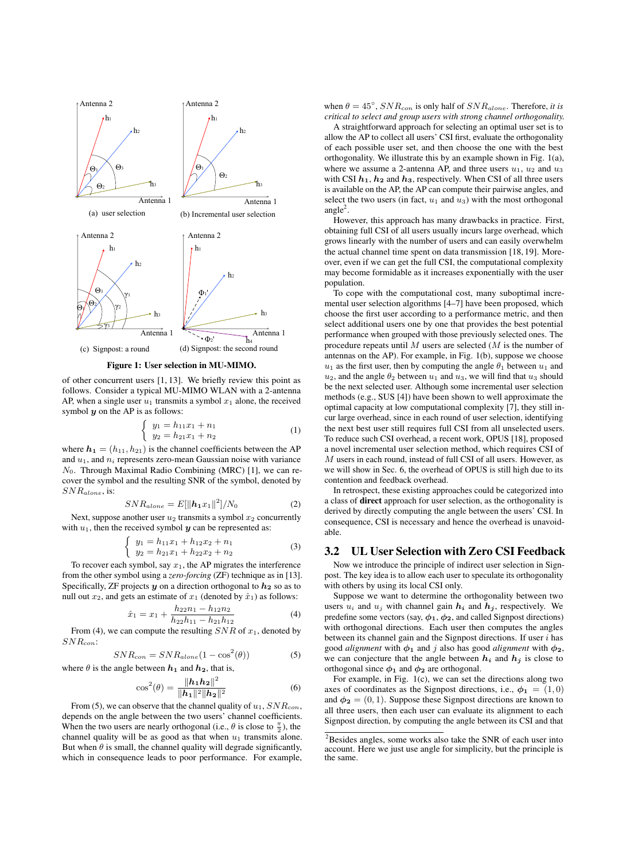

#### Figure 1: User selection in MU-MIMO.

of other concurrent users [1, 13]. We briefly review this point as follows. Consider a typical MU-MIMO WLAN with a 2-antenna AP, when a single user  $u_1$  transmits a symbol  $x_1$  alone, the received symbol *y* on the AP is as follows:

$$
\begin{cases}\n y_1 = h_{11}x_1 + n_1 \\
y_2 = h_{21}x_1 + n_2\n\end{cases} (1)
$$

where  $h_1 = (h_{11}, h_{21})$  is the channel coefficients between the AP and  $u_1$ , and  $n_i$  represents zero-mean Gaussian noise with variance  $N_0$ . Through Maximal Radio Combining (MRC) [1], we can recover the symbol and the resulting SNR of the symbol, denoted by  $SNR_{alone}$ , is:

$$
SNR_{alone} = E[\|\mathbf{h_1}x_1\|^2]/N_0 \tag{2}
$$

Next, suppose another user  $u_2$  transmits a symbol  $x_2$  concurrently with  $u_1$ , then the received symbol  $y$  can be represented as:

$$
\begin{cases}\n y_1 = h_{11}x_1 + h_{12}x_2 + n_1 \\
y_2 = h_{21}x_1 + h_{22}x_2 + n_2\n\end{cases} \tag{3}
$$

To recover each symbol, say  $x_1$ , the AP migrates the interference from the other symbol using a *zero-forcing* (ZF) technique as in [13]. Specifically, ZF projects  $y$  on a direction orthogonal to  $h_2$  so as to null out  $x_2$ , and gets an estimate of  $x_1$  (denoted by  $\hat{x}_1$ ) as follows:

$$
\hat{x}_1 = x_1 + \frac{h_{22}n_1 - h_{12}n_2}{h_{22}h_{11} - h_{21}h_{12}}\tag{4}
$$

From (4), we can compute the resulting  $SNR$  of  $x_1$ , denoted by  $SNR_{con}$ :

$$
SNR_{con} = SNR_{alone}(1 - \cos^2(\theta))
$$
 (5)

where  $\theta$  is the angle between  $h_1$  and  $h_2$ , that is,

$$
\cos^2(\theta) = \frac{\|\mathbf{h_1}\mathbf{h_2}\|^2}{\|\mathbf{h_1}\|^2 \|\mathbf{h_2}\|^2}
$$
 (6)

From (5), we can observe that the channel quality of  $u_1$ ,  $SNR_{con}$ , depends on the angle between the two users' channel coefficients. When the two users are nearly orthogonal (i.e.,  $\theta$  is close to  $\frac{\pi}{2}$ ), the channel quality will be as good as that when  $u_1$  transmits alone. But when  $\theta$  is small, the channel quality will degrade significantly, which in consequence leads to poor performance. For example,

when  $\theta = 45^{\circ}$ ,  $SNR_{con}$  is only half of  $SNR_{alone}$ . Therefore, *it is critical to select and group users with strong channel orthogonality.*

A straightforward approach for selecting an optimal user set is to allow the AP to collect all users' CSI first, evaluate the orthogonality of each possible user set, and then choose the one with the best orthogonality. We illustrate this by an example shown in Fig. 1(a), where we assume a 2-antenna AP, and three users  $u_1$ ,  $u_2$  and  $u_3$ with CSI  $h_1$ ,  $h_2$  and  $h_3$ , respectively. When CSI of all three users is available on the AP, the AP can compute their pairwise angles, and select the two users (in fact,  $u_1$  and  $u_3$ ) with the most orthogonal  $angle<sup>2</sup>$ .

However, this approach has many drawbacks in practice. First, obtaining full CSI of all users usually incurs large overhead, which grows linearly with the number of users and can easily overwhelm the actual channel time spent on data transmission [18, 19]. Moreover, even if we can get the full CSI, the computational complexity may become formidable as it increases exponentially with the user population.

To cope with the computational cost, many suboptimal incremental user selection algorithms [4–7] have been proposed, which choose the first user according to a performance metric, and then select additional users one by one that provides the best potential performance when grouped with those previously selected ones. The procedure repeats until  $M$  users are selected  $(M$  is the number of antennas on the AP). For example, in Fig. 1(b), suppose we choose  $u_1$  as the first user, then by computing the angle  $\theta_1$  between  $u_1$  and  $u_2$ , and the angle  $\theta_2$  between  $u_1$  and  $u_3$ , we will find that  $u_3$  should be the next selected user. Although some incremental user selection methods (e.g., SUS [4]) have been shown to well approximate the optimal capacity at low computational complexity [7], they still incur large overhead, since in each round of user selection, identifying the next best user still requires full CSI from all unselected users. To reduce such CSI overhead, a recent work, OPUS [18], proposed a novel incremental user selection method, which requires CSI of M users in each round, instead of full CSI of all users. However, as we will show in Sec. 6, the overhead of OPUS is still high due to its contention and feedback overhead.

In retrospect, these existing approaches could be categorized into a class of direct approach for user selection, as the orthogonality is derived by directly computing the angle between the users' CSI. In consequence, CSI is necessary and hence the overhead is unavoidable.

## 3.2 UL User Selection with Zero CSI Feedback

Now we introduce the principle of indirect user selection in Signpost. The key idea is to allow each user to speculate its orthogonality with others by using its local CSI only.

Suppose we want to determine the orthogonality between two users  $u_i$  and  $u_j$  with channel gain  $h_i$  and  $h_j$ , respectively. We predefine some vectors (say,  $\phi_1$ ,  $\phi_2$ , and called Signpost directions) with orthogonal directions. Each user then computes the angles between its channel gain and the Signpost directions. If user  $i$  has good *alignment* with  $\phi_1$  and *j* also has good *alignment* with  $\phi_2$ , we can conjecture that the angle between  $h_i$  and  $h_j$  is close to orthogonal since  $\phi_1$  and  $\phi_2$  are orthogonal.

For example, in Fig. 1(c), we can set the directions along two axes of coordinates as the Signpost directions, i.e.,  $\phi_1 = (1, 0)$ and  $\phi_2 = (0, 1)$ . Suppose these Signpost directions are known to all three users, then each user can evaluate its alignment to each Signpost direction, by computing the angle between its CSI and that

<sup>&</sup>lt;sup>2</sup>Besides angles, some works also take the SNR of each user into account. Here we just use angle for simplicity, but the principle is the same.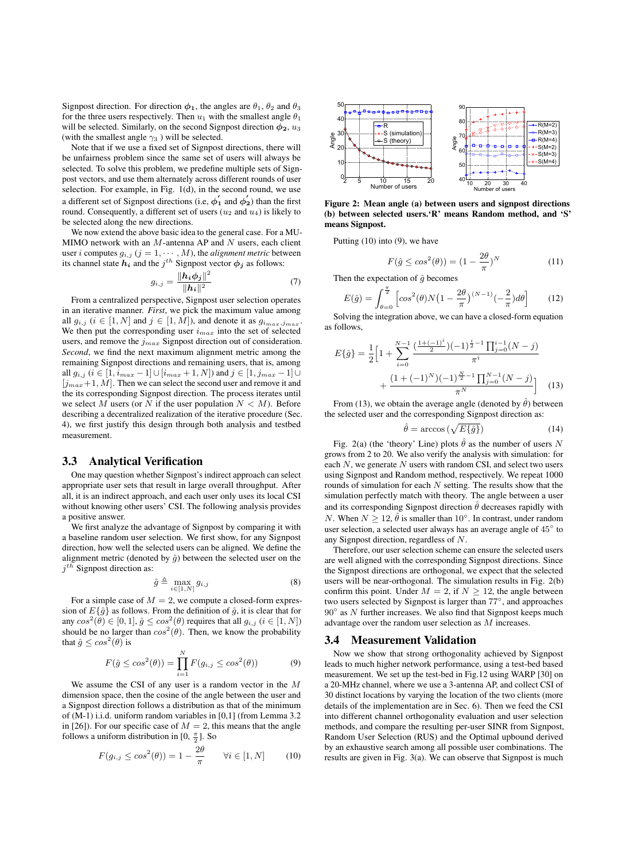Signpost direction. For direction  $\phi_1$ , the angles are  $\theta_1$ ,  $\theta_2$  and  $\theta_3$ for the three users respectively. Then  $u_1$  with the smallest angle  $\theta_1$ will be selected. Similarly, on the second Signpost direction  $\phi_2$ ,  $u_3$ (with the smallest angle  $\gamma_3$ ) will be selected.

Note that if we use a fixed set of Signpost directions, there will be unfairness problem since the same set of users will always be selected. To solve this problem, we predefine multiple sets of Signpost vectors, and use them alternately across different rounds of user selection. For example, in Fig. 1(d), in the second round, we use a different set of Signpost directions (i.e,  $\phi'_1$  and  $\phi'_2$ ) than the first round. Consequently, a different set of users  $(u_2 \text{ and } u_4)$  is likely to be selected along the new directions.

We now extend the above basic idea to the general case. For a MU-MIMO network with an  $M$ -antenna AP and  $N$  users, each client user *i* computes  $g_{i,j}$  ( $j = 1, \dots, M$ ), the *alignment metric* between its channel state  $h_i$  and the  $j^{th}$  Signpost vector  $\phi_j$  as follows:

$$
g_{i,j} = \frac{\|\mathbf{h}_i \phi_j\|^2}{\|\mathbf{h}_i\|^2} \tag{7}
$$

From a centralized perspective, Signpost user selection operates in an iterative manner. *First*, we pick the maximum value among all  $g_{i,j}$  ( $i \in [1, N]$  and  $j \in [1, M]$ ), and denote it as  $g_{i_{max}, j_{max}}$ . We then put the corresponding user  $i_{max}$  into the set of selected users, and remove the  $j_{max}$  Signpost direction out of consideration. *Second*, we find the next maximum alignment metric among the remaining Signpost directions and remaining users, that is, among all  $g_{i,j}$  ( $i \in [1, i_{max} - 1] \cup [i_{max} + 1, N]$ ) and  $j \in [1, j_{max} - 1]$ ∪  $[j_{max}+1, M]$ . Then we can select the second user and remove it and the its corresponding Signpost direction. The process iterates until we select M users (or N if the user population  $N < M$ ). Before describing a decentralized realization of the iterative procedure (Sec. 4), we first justify this design through both analysis and testbed measurement.

#### 3.3 Analytical Verification

One may question whether Signpost's indirect approach can select appropriate user sets that result in large overall throughput. After all, it is an indirect approach, and each user only uses its local CSI without knowing other users' CSI. The following analysis provides a positive answer.

We first analyze the advantage of Signpost by comparing it with a baseline random user selection. We first show, for any Signpost direction, how well the selected users can be aligned. We define the alignment metric (denoted by  $\hat{g}$ ) between the selected user on the  $i^{th}$  Signpost direction as:

$$
\hat{g} \triangleq \max_{i \in [1,N]} g_{i,j} \tag{8}
$$

For a simple case of  $M = 2$ , we compute a closed-form expression of  $E\{\hat{g}\}\$ as follows. From the definition of  $\hat{g}$ , it is clear that for any  $cos^2(\theta) \in [0, 1], \hat{g} \leq cos^2(\theta)$  requires that all  $g_{i,j}$   $(i \in [1, N])$ should be no larger than  $\cos^2(\theta)$ . Then, we know the probability that  $\hat{g} \leq \cos^2(\theta)$  is

$$
F(\hat{g} \le \cos^2(\theta)) = \prod_{i=1}^N F(g_{i,j} \le \cos^2(\theta))
$$
 (9)

We assume the CSI of any user is a random vector in the M dimension space, then the cosine of the angle between the user and a Signpost direction follows a distribution as that of the minimum of (M-1) i.i.d. uniform random variables in [0,1] (from Lemma 3.2 in [26]). For our specific case of  $M = 2$ , this means that the angle follows a uniform distribution in  $[0, \frac{\pi}{2}]$ . So

$$
F(g_{i,j} \le \cos^2(\theta)) = 1 - \frac{2\theta}{\pi} \qquad \forall i \in [1, N] \tag{10}
$$



Figure 2: Mean angle (a) between users and signpost directions (b) between selected users.'R' means Random method, and 'S' means Signpost.

Putting (10) into (9), we have

$$
F(\hat{g} \le \cos^2(\theta)) = (1 - \frac{2\theta}{\pi})^N \tag{11}
$$

Then the expectation of  $\hat{q}$  becomes

$$
E(\hat{g}) = \int_{\theta=0}^{\frac{\pi}{2}} \left[ \cos^2(\theta) N \left( 1 - \frac{2\theta}{\pi} \right)^{(N-1)} (-\frac{2}{\pi}) d\theta \right]
$$
(12)

Solving the integration above, we can have a closed-form equation as follows,

$$
E\{\hat{g}\} = \frac{1}{2} \left[ 1 + \sum_{i=0}^{N-1} \frac{\left(\frac{1+(-1)^i}{2}\right)(-1)^{\frac{i}{2}-1} \prod_{j=0}^{i-1} (N-j)}{\pi^i} + \frac{\left(1+(-1)^N\right)(-1)^{\frac{N}{2}-1} \prod_{j=0}^{N-1} (N-j)}{\pi^N} \right]
$$
(13)

From (13), we obtain the average angle (denoted by  $\hat{\theta}$ ) between the selected user and the corresponding Signpost direction as:

$$
\hat{\theta} = \arccos\left(\sqrt{E\{\hat{g}\}}\right) \tag{14}
$$

Fig. 2(a) (the 'theory' Line) plots  $\hat{\theta}$  as the number of users N grows from 2 to 20. We also verify the analysis with simulation: for each  $N$ , we generate  $N$  users with random CSI, and select two users using Signpost and Random method, respectively. We repeat 1000 rounds of simulation for each N setting. The results show that the simulation perfectly match with theory. The angle between a user and its corresponding Signpost direction  $\hat{\theta}$  decreases rapidly with N. When  $N > 12$ ,  $\hat{\theta}$  is smaller than  $10^{\circ}$ . In contrast, under random user selection, a selected user always has an average angle of 45<sup>°</sup> to any Signpost direction, regardless of N.

Therefore, our user selection scheme can ensure the selected users are well aligned with the corresponding Signpost directions. Since the Signpost directions are orthogonal, we expect that the selected users will be near-orthogonal. The simulation results in Fig. 2(b) confirm this point. Under  $M = 2$ , if  $N > 12$ , the angle between two users selected by Signpost is larger than 77◦, and approaches  $90°$  as N further increases. We also find that Signpost keeps much advantage over the random user selection as M increases.

#### 3.4 Measurement Validation

Now we show that strong orthogonality achieved by Signpost leads to much higher network performance, using a test-bed based measurement. We set up the test-bed in Fig.12 using WARP [30] on a 20-MHz channel, where we use a 3-antenna AP, and collect CSI of 30 distinct locations by varying the location of the two clients (more details of the implementation are in Sec. 6). Then we feed the CSI into different channel orthogonality evaluation and user selection methods, and compare the resulting per-user SINR from Signpost, Random User Selection (RUS) and the Optimal upbound derived by an exhaustive search among all possible user combinations. The results are given in Fig. 3(a). We can observe that Signpost is much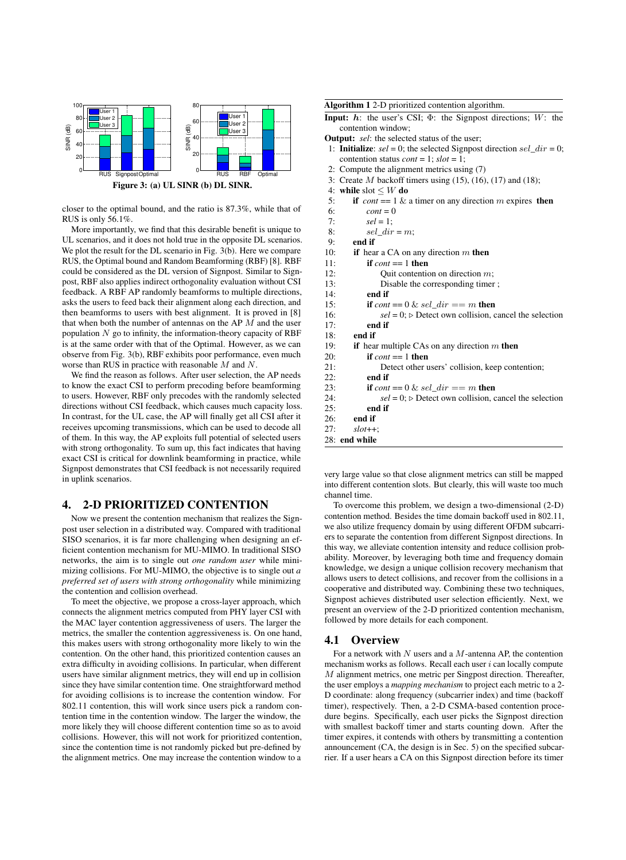

closer to the optimal bound, and the ratio is 87.3%, while that of RUS is only 56.1%.

More importantly, we find that this desirable benefit is unique to UL scenarios, and it does not hold true in the opposite DL scenarios. We plot the result for the DL scenario in Fig. 3(b). Here we compare RUS, the Optimal bound and Random Beamforming (RBF) [8]. RBF could be considered as the DL version of Signpost. Similar to Signpost, RBF also applies indirect orthogonality evaluation without CSI feedback. A RBF AP randomly beamforms to multiple directions, asks the users to feed back their alignment along each direction, and then beamforms to users with best alignment. It is proved in [8] that when both the number of antennas on the AP  $M$  and the user population  $N$  go to infinity, the information-theory capacity of RBF is at the same order with that of the Optimal. However, as we can observe from Fig. 3(b), RBF exhibits poor performance, even much worse than RUS in practice with reasonable M and N.

We find the reason as follows. After user selection, the AP needs to know the exact CSI to perform precoding before beamforming to users. However, RBF only precodes with the randomly selected directions without CSI feedback, which causes much capacity loss. In contrast, for the UL case, the AP will finally get all CSI after it receives upcoming transmissions, which can be used to decode all of them. In this way, the AP exploits full potential of selected users with strong orthogonality. To sum up, this fact indicates that having exact CSI is critical for downlink beamforming in practice, while Signpost demonstrates that CSI feedback is not necessarily required in uplink scenarios.

# 4. 2-D PRIORITIZED CONTENTION

Now we present the contention mechanism that realizes the Signpost user selection in a distributed way. Compared with traditional SISO scenarios, it is far more challenging when designing an efficient contention mechanism for MU-MIMO. In traditional SISO networks, the aim is to single out *one random user* while minimizing collisions. For MU-MIMO, the objective is to single out *a preferred set of users with strong orthogonality* while minimizing the contention and collision overhead.

To meet the objective, we propose a cross-layer approach, which connects the alignment metrics computed from PHY layer CSI with the MAC layer contention aggressiveness of users. The larger the metrics, the smaller the contention aggressiveness is. On one hand, this makes users with strong orthogonality more likely to win the contention. On the other hand, this prioritized contention causes an extra difficulty in avoiding collisions. In particular, when different users have similar alignment metrics, they will end up in collision since they have similar contention time. One straightforward method for avoiding collisions is to increase the contention window. For 802.11 contention, this will work since users pick a random contention time in the contention window. The larger the window, the more likely they will choose different contention time so as to avoid collisions. However, this will not work for prioritized contention, since the contention time is not randomly picked but pre-defined by the alignment metrics. One may increase the contention window to a

**Input:**  $h$ : the user's CSI;  $\Phi$ : the Signpost directions;  $W$ : the contention window; **Output:** *sel*: the selected status of the user; 1: **Initialize:**  $sel = 0$ ; the selected Signpost direction  $sel\_dir = 0$ ; contention status *cont* = 1; *slot* = 1; 2: Compute the alignment metrics using  $(7)$ <br>3: Create M backoff timers using  $(15)$ .  $(16)$ 3: Create *M* backoff timers using (15), (16), (17) and (18);<br>4: while slot  $\leq W$  do 4: while slot  $\leq$  W do<br>5: if cont == 1 & if *cont* == 1  $\&$  a timer on any direction m expires then  $6:$   $cont = 0$ 7:  $sel = 1$ ;<br>8:  $sel\_dir$ 8:  $sel\_dir = m;$ <br>9. end if 9: **end if**  $10$ : **if** hea 10: **if** hear a CA on any direction m **then**<br>11: **if** cont == 1 **then** if  $cont == 1$  then 12: Quit contention on direction  $m$ ;<br>13: Disable the corresponding timer Disable the corresponding timer; 14: **end if**  $\frac{15}{15}$  **if**  $\frac{15}{15}$ 15: **if** *cont* == 0 & sel\_dir == m **then**<br>16:  $sel = 0$ :  $\triangleright$  Detect own collision. c 16:  $sel = 0$ ;  $\triangleright$  Detect own collision, cancel the selection 17: **end if** 17: end if<br>18: end if end if 19: **if** hear multiple CAs on any direction m **then** 20: **if**  $cont == 1$  **then**  $if$   $cont == 1$  then 21: Detect other users' collision, keep contention;<br>22: **end if** 22: **end if**<br>23: **if** com 23: **if** *cont* == 0 & sel\_dir == m **then**<br>24·  $sel = 0$ :  $\triangleright$  Detect own collision contains the set of  $\triangleright$  Detect own collision contains the set of  $\triangleright$  Detect own collision contains the set of  $\triangle$ 24:  $sel = 0$ ;  $\triangleright$  Detect own collision, cancel the selection 25: **end if** end if 26: end if<br>27:  $slot++$ 27: *slot*++; 28: end while

Algorithm 1 2-D prioritized contention algorithm.

very large value so that close alignment metrics can still be mapped into different contention slots. But clearly, this will waste too much channel time.

To overcome this problem, we design a two-dimensional (2-D) contention method. Besides the time domain backoff used in 802.11, we also utilize frequency domain by using different OFDM subcarriers to separate the contention from different Signpost directions. In this way, we alleviate contention intensity and reduce collision probability. Moreover, by leveraging both time and frequency domain knowledge, we design a unique collision recovery mechanism that allows users to detect collisions, and recover from the collisions in a cooperative and distributed way. Combining these two techniques, Signpost achieves distributed user selection efficiently. Next, we present an overview of the 2-D prioritized contention mechanism, followed by more details for each component.

#### 4.1 Overview

For a network with  $N$  users and a  $M$ -antenna AP, the contention mechanism works as follows. Recall each user  $i$  can locally compute M alignment metrics, one metric per Singpost direction. Thereafter, the user employs a *mapping mechanism* to project each metric to a 2- D coordinate: along frequency (subcarrier index) and time (backoff timer), respectively. Then, a 2-D CSMA-based contention procedure begins. Specifically, each user picks the Signpost direction with smallest backoff timer and starts counting down. After the timer expires, it contends with others by transmitting a contention announcement (CA, the design is in Sec. 5) on the specified subcarrier. If a user hears a CA on this Signpost direction before its timer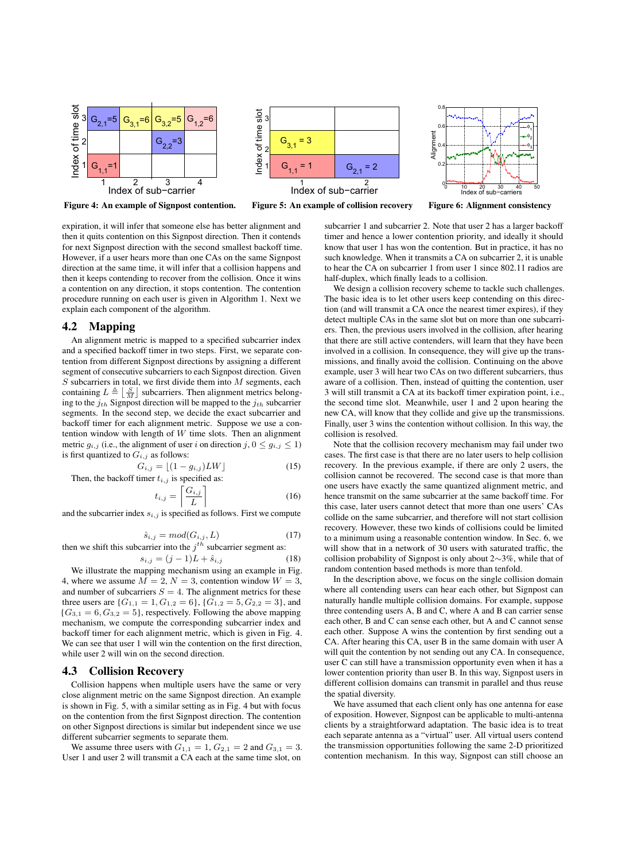

Figure 4: An example of Signpost contention.





Figure 6: Alignment consistency

expiration, it will infer that someone else has better alignment and then it quits contention on this Signpost direction. Then it contends for next Signpost direction with the second smallest backoff time. However, if a user hears more than one CAs on the same Signpost direction at the same time, it will infer that a collision happens and then it keeps contending to recover from the collision. Once it wins a contention on any direction, it stops contention. The contention procedure running on each user is given in Algorithm 1. Next we explain each component of the algorithm.

## 4.2 Mapping

An alignment metric is mapped to a specified subcarrier index and a specified backoff timer in two steps. First, we separate contention from different Signpost directions by assigning a different segment of consecutive subcarriers to each Signpost direction. Given  $S$  subcarriers in total, we first divide them into  $M$  segments, each containing  $L \triangleq \left\lfloor \frac{S}{M} \right\rfloor$  subcarriers. Then alignment metrics belonging to the  $j_{th}$  Signpost direction will be mapped to the  $j_{th}$  subcarrier segments. In the second step, we decide the exact subcarrier and backoff timer for each alignment metric. Suppose we use a contention window with length of  $W$  time slots. Then an alignment metric  $g_{i,j}$  (i.e., the alignment of user i on direction  $j, 0 \le g_{i,j} \le 1$ ) is first quantized to  $G_{i,j}$  as follows:

$$
G_{i,j} = \lfloor (1 - g_{i,j})LW \rfloor \tag{15}
$$

Then, the backoff timer  $t_{i,j}$  is specified as:

$$
t_{i,j} = \left\lceil \frac{G_{i,j}}{L} \right\rceil \tag{16}
$$

and the subcarrier index  $s_{i,j}$  is specified as follows. First we compute

$$
\hat{s}_{i,j} = mod(G_{i,j}, L) \tag{17}
$$

then we shift this subcarrier into the  $j<sup>th</sup>$  subcarrier segment as:

$$
s_{i,j} = (j-1)L + \hat{s}_{i,j} \tag{18}
$$

We illustrate the mapping mechanism using an example in Fig. 4, where we assume  $M = 2$ ,  $N = 3$ , contention window  $W = 3$ , and number of subcarriers  $S = 4$ . The alignment metrics for these three users are  $\{G_{1,1} = 1, G_{1,2} = 6\}$ ,  $\{G_{1,2} = 5, G_{2,2} = 3\}$ , and  ${G_{3,1} = 6, G_{3,2} = 5}$ , respectively. Following the above mapping mechanism, we compute the corresponding subcarrier index and backoff timer for each alignment metric, which is given in Fig. 4. We can see that user 1 will win the contention on the first direction, while user 2 will win on the second direction.

#### 4.3 Collision Recovery

Collision happens when multiple users have the same or very close alignment metric on the same Signpost direction. An example is shown in Fig. 5, with a similar setting as in Fig. 4 but with focus on the contention from the first Signpost direction. The contention on other Signpost directions is similar but independent since we use different subcarrier segments to separate them.

We assume three users with  $G_{1,1} = 1, G_{2,1} = 2$  and  $G_{3,1} = 3$ . User 1 and user 2 will transmit a CA each at the same time slot, on

subcarrier 1 and subcarrier 2. Note that user 2 has a larger backoff timer and hence a lower contention priority, and ideally it should know that user 1 has won the contention. But in practice, it has no such knowledge. When it transmits a CA on subcarrier 2, it is unable to hear the CA on subcarrier 1 from user 1 since 802.11 radios are half-duplex, which finally leads to a collision.

We design a collision recovery scheme to tackle such challenges. The basic idea is to let other users keep contending on this direction (and will transmit a CA once the nearest timer expires), if they detect multiple CAs in the same slot but on more than one subcarriers. Then, the previous users involved in the collision, after hearing that there are still active contenders, will learn that they have been involved in a collision. In consequence, they will give up the transmissions, and finally avoid the collision. Continuing on the above example, user 3 will hear two CAs on two different subcarriers, thus aware of a collision. Then, instead of quitting the contention, user 3 will still transmit a CA at its backoff timer expiration point, i.e., the second time slot. Meanwhile, user 1 and 2 upon hearing the new CA, will know that they collide and give up the transmissions. Finally, user 3 wins the contention without collision. In this way, the collision is resolved.

Note that the collision recovery mechanism may fail under two cases. The first case is that there are no later users to help collision recovery. In the previous example, if there are only 2 users, the collision cannot be recovered. The second case is that more than one users have exactly the same quantized alignment metric, and hence transmit on the same subcarrier at the same backoff time. For this case, later users cannot detect that more than one users' CAs collide on the same subcarrier, and therefore will not start collision recovery. However, these two kinds of collisions could be limited to a minimum using a reasonable contention window. In Sec. 6, we will show that in a network of 30 users with saturated traffic, the collision probability of Signpost is only about 2∼3%, while that of random contention based methods is more than tenfold.

In the description above, we focus on the single collision domain where all contending users can hear each other, but Signpost can naturally handle multiple collision domains. For example, suppose three contending users A, B and C, where A and B can carrier sense each other, B and C can sense each other, but A and C cannot sense each other. Suppose A wins the contention by first sending out a CA. After hearing this CA, user B in the same domain with user A will quit the contention by not sending out any CA. In consequence, user C can still have a transmission opportunity even when it has a lower contention priority than user B. In this way, Signpost users in different collision domains can transmit in parallel and thus reuse the spatial diversity.

We have assumed that each client only has one antenna for ease of exposition. However, Signpost can be applicable to multi-antenna clients by a straightforward adaptation. The basic idea is to treat each separate antenna as a "virtual" user. All virtual users contend the transmission opportunities following the same 2-D prioritized contention mechanism. In this way, Signpost can still choose an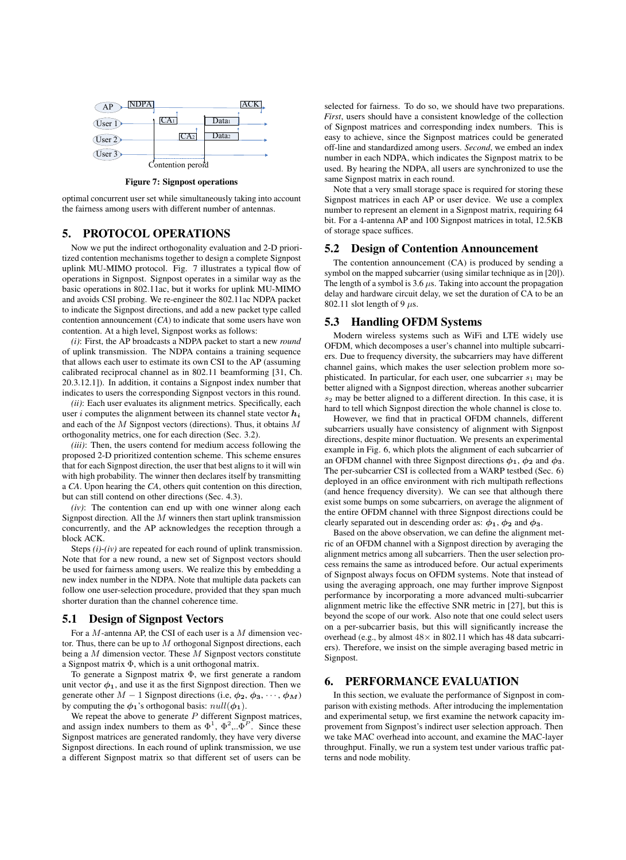

Figure 7: Signpost operations

optimal concurrent user set while simultaneously taking into account the fairness among users with different number of antennas.

# 5. PROTOCOL OPERATIONS

Now we put the indirect orthogonality evaluation and 2-D prioritized contention mechanisms together to design a complete Signpost uplink MU-MIMO protocol. Fig. 7 illustrates a typical flow of operations in Signpost. Signpost operates in a similar way as the basic operations in 802.11ac, but it works for uplink MU-MIMO and avoids CSI probing. We re-engineer the 802.11ac NDPA packet to indicate the Signpost directions, and add a new packet type called contention announcement (*CA*) to indicate that some users have won contention. At a high level, Signpost works as follows:

*(i)*: First, the AP broadcasts a NDPA packet to start a new *round* of uplink transmission. The NDPA contains a training sequence that allows each user to estimate its own CSI to the AP (assuming calibrated reciprocal channel as in 802.11 beamforming [31, Ch. 20.3.12.1]). In addition, it contains a Signpost index number that indicates to users the corresponding Signpost vectors in this round.

*(ii)*: Each user evaluates its alignment metrics. Specifically, each user *i* computes the alignment between its channel state vector  $h_i$ and each of the M Signpost vectors (directions). Thus, it obtains M orthogonality metrics, one for each direction (Sec. 3.2).

*(iii)*: Then, the users contend for medium access following the proposed 2-D prioritized contention scheme. This scheme ensures that for each Signpost direction, the user that best aligns to it will win with high probability. The winner then declares itself by transmitting a *CA*. Upon hearing the *CA*, others quit contention on this direction, but can still contend on other directions (Sec. 4.3).

*(iv)*: The contention can end up with one winner along each Signpost direction. All the  $M$  winners then start uplink transmission concurrently, and the AP acknowledges the reception through a block ACK.

Steps *(i)*-*(iv)* are repeated for each round of uplink transmission. Note that for a new round, a new set of Signpost vectors should be used for fairness among users. We realize this by embedding a new index number in the NDPA. Note that multiple data packets can follow one user-selection procedure, provided that they span much shorter duration than the channel coherence time.

#### 5.1 Design of Signpost Vectors

For a  $M$ -antenna AP, the CSI of each user is a  $M$  dimension vector. Thus, there can be up to  $M$  orthogonal Signpost directions, each being a  $M$  dimension vector. These  $M$  Signpost vectors constitute a Signpost matrix Φ, which is a unit orthogonal matrix.

To generate a Signpost matrix Φ, we first generate a random unit vector  $\phi_1$ , and use it as the first Signpost direction. Then we generate other  $M - 1$  Signpost directions (i.e,  $\phi_2$ ,  $\phi_3$ , ···,  $\phi_M$ ) by computing the  $\phi_1$ 's orthogonal basis:  $null(\phi_1)$ .

We repeat the above to generate  $P$  different Signpost matrices, and assign index numbers to them as  $\Phi^1$ ,  $\Phi^2$ ..., $\Phi^P$ . Since these Signpost matrices are generated randomly, they have very diverse Signpost directions. In each round of uplink transmission, we use a different Signpost matrix so that different set of users can be

selected for fairness. To do so, we should have two preparations. *First*, users should have a consistent knowledge of the collection of Signpost matrices and corresponding index numbers. This is easy to achieve, since the Signpost matrices could be generated off-line and standardized among users. *Second*, we embed an index number in each NDPA, which indicates the Signpost matrix to be used. By hearing the NDPA, all users are synchronized to use the same Signpost matrix in each round.

Note that a very small storage space is required for storing these Signpost matrices in each AP or user device. We use a complex number to represent an element in a Signpost matrix, requiring 64 bit. For a 4-antenna AP and 100 Signpost matrices in total, 12.5KB of storage space suffices.

#### 5.2 Design of Contention Announcement

The contention announcement (CA) is produced by sending a symbol on the mapped subcarrier (using similar technique as in [20]). The length of a symbol is 3.6  $\mu$ s. Taking into account the propagation delay and hardware circuit delay, we set the duration of CA to be an 802.11 slot length of 9  $\mu$ s.

# 5.3 Handling OFDM Systems

Modern wireless systems such as WiFi and LTE widely use OFDM, which decomposes a user's channel into multiple subcarriers. Due to frequency diversity, the subcarriers may have different channel gains, which makes the user selection problem more sophisticated. In particular, for each user, one subcarrier  $s_1$  may be better aligned with a Signpost direction, whereas another subcarrier  $s<sub>2</sub>$  may be better aligned to a different direction. In this case, it is hard to tell which Signpost direction the whole channel is close to.

However, we find that in practical OFDM channels, different subcarriers usually have consistency of alignment with Signpost directions, despite minor fluctuation. We presents an experimental example in Fig. 6, which plots the alignment of each subcarrier of an OFDM channel with three Signpost directions  $\phi_1$ ,  $\phi_2$  and  $\phi_3$ . The per-subcarrier CSI is collected from a WARP testbed (Sec. 6) deployed in an office environment with rich multipath reflections (and hence frequency diversity). We can see that although there exist some bumps on some subcarriers, on average the alignment of the entire OFDM channel with three Signpost directions could be clearly separated out in descending order as:  $\phi_1$ ,  $\phi_2$  and  $\phi_3$ .

Based on the above observation, we can define the alignment metric of an OFDM channel with a Signpost direction by averaging the alignment metrics among all subcarriers. Then the user selection process remains the same as introduced before. Our actual experiments of Signpost always focus on OFDM systems. Note that instead of using the averaging approach, one may further improve Signpost performance by incorporating a more advanced multi-subcarrier alignment metric like the effective SNR metric in [27], but this is beyond the scope of our work. Also note that one could select users on a per-subcarrier basis, but this will significantly increase the overhead (e.g., by almost  $48 \times$  in 802.11 which has 48 data subcarriers). Therefore, we insist on the simple averaging based metric in Signpost.

# 6. PERFORMANCE EVALUATION

In this section, we evaluate the performance of Signpost in comparison with existing methods. After introducing the implementation and experimental setup, we first examine the network capacity improvement from Signpost's indirect user selection approach. Then we take MAC overhead into account, and examine the MAC-layer throughput. Finally, we run a system test under various traffic patterns and node mobility.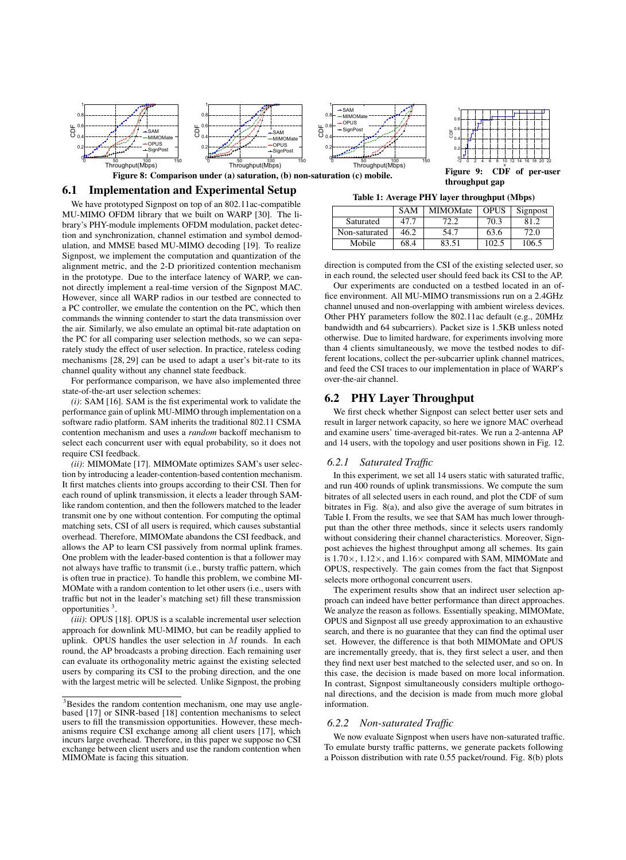

## 6.1 Implementation and Experimental Setup

We have prototyped Signpost on top of an 802.11ac-compatible MU-MIMO OFDM library that we built on WARP [30]. The library's PHY-module implements OFDM modulation, packet detection and synchronization, channel estimation and symbol demodulation, and MMSE based MU-MIMO decoding [19]. To realize Signpost, we implement the computation and quantization of the alignment metric, and the 2-D prioritized contention mechanism in the prototype. Due to the interface latency of WARP, we cannot directly implement a real-time version of the Signpost MAC. However, since all WARP radios in our testbed are connected to a PC controller, we emulate the contention on the PC, which then commands the winning contender to start the data transmission over the air. Similarly, we also emulate an optimal bit-rate adaptation on the PC for all comparing user selection methods, so we can separately study the effect of user selection. In practice, rateless coding mechanisms [28, 29] can be used to adapt a user's bit-rate to its channel quality without any channel state feedback.

For performance comparison, we have also implemented three state-of-the-art user selection schemes:

*(i)*: SAM [16]. SAM is the fist experimental work to validate the performance gain of uplink MU-MIMO through implementation on a software radio platform. SAM inherits the traditional 802.11 CSMA contention mechanism and uses a *random* backoff mechanism to select each concurrent user with equal probability, so it does not require CSI feedback.

*(ii)*: MIMOMate [17]. MIMOMate optimizes SAM's user selection by introducing a leader-contention-based contention mechanism. It first matches clients into groups according to their CSI. Then for each round of uplink transmission, it elects a leader through SAMlike random contention, and then the followers matched to the leader transmit one by one without contention. For computing the optimal matching sets, CSI of all users is required, which causes substantial overhead. Therefore, MIMOMate abandons the CSI feedback, and allows the AP to learn CSI passively from normal uplink frames. One problem with the leader-based contention is that a follower may not always have traffic to transmit (i.e., bursty traffic pattern, which is often true in practice). To handle this problem, we combine MI-MOMate with a random contention to let other users (i.e., users with traffic but not in the leader's matching set) fill these transmission opportunities<sup>3</sup>.

*(iii)*: OPUS [18]. OPUS is a scalable incremental user selection approach for downlink MU-MIMO, but can be readily applied to uplink. OPUS handles the user selection in  $M$  rounds. In each round, the AP broadcasts a probing direction. Each remaining user can evaluate its orthogonality metric against the existing selected users by comparing its CSI to the probing direction, and the one with the largest metric will be selected. Unlike Signpost, the probing

Table 1: Average PHY layer throughput (Mbps)

|               | <b>SAM</b> | <b>MIMOMate</b> | <b>OPUS</b> | Signpost |
|---------------|------------|-----------------|-------------|----------|
| Saturated     | 47.7       |                 | 70.3        | 81 2     |
| Non-saturated | 46.2       | 54.7            | 63.6        | 72.0     |
| Mobile        | 68.4       | 83.51           | 102.5       | 106.5    |

direction is computed from the CSI of the existing selected user, so in each round, the selected user should feed back its CSI to the AP.

Our experiments are conducted on a testbed located in an office environment. All MU-MIMO transmissions run on a 2.4GHz channel unused and non-overlapping with ambient wireless devices. Other PHY parameters follow the 802.11ac default (e.g., 20MHz bandwidth and 64 subcarriers). Packet size is 1.5KB unless noted otherwise. Due to limited hardware, for experiments involving more than 4 clients simultaneously, we move the testbed nodes to different locations, collect the per-subcarrier uplink channel matrices, and feed the CSI traces to our implementation in place of WARP's over-the-air channel.

# 6.2 PHY Layer Throughput

We first check whether Signpost can select better user sets and result in larger network capacity, so here we ignore MAC overhead and examine users' time-averaged bit-rates. We run a 2-antenna AP and 14 users, with the topology and user positions shown in Fig. 12.

## *6.2.1 Saturated Traffic*

In this experiment, we set all 14 users static with saturated traffic, and run 400 rounds of uplink transmissions. We compute the sum bitrates of all selected users in each round, and plot the CDF of sum bitrates in Fig. 8(a), and also give the average of sum bitrates in Table I. From the results, we see that SAM has much lower throughput than the other three methods, since it selects users randomly without considering their channel characteristics. Moreover, Signpost achieves the highest throughput among all schemes. Its gain is  $1.70 \times$ ,  $1.12 \times$ , and  $1.16 \times$  compared with SAM, MIMOMate and OPUS, respectively. The gain comes from the fact that Signpost selects more orthogonal concurrent users.

The experiment results show that an indirect user selection approach can indeed have better performance than direct approaches. We analyze the reason as follows. Essentially speaking, MIMOMate, OPUS and Signpost all use greedy approximation to an exhaustive search, and there is no guarantee that they can find the optimal user set. However, the difference is that both MIMOMate and OPUS are incrementally greedy, that is, they first select a user, and then they find next user best matched to the selected user, and so on. In this case, the decision is made based on more local information. In contrast, Signpost simultaneously considers multiple orthogonal directions, and the decision is made from much more global information.

#### *6.2.2 Non-saturated Traffic*

We now evaluate Signpost when users have non-saturated traffic. To emulate bursty traffic patterns, we generate packets following a Poisson distribution with rate 0.55 packet/round. Fig. 8(b) plots

<sup>&</sup>lt;sup>3</sup>Besides the random contention mechanism, one may use anglebased [17] or SINR-based [18] contention mechanisms to select users to fill the transmission opportunities. However, these mechanisms require CSI exchange among all client users [17], which incurs large overhead. Therefore, in this paper we suppose no CSI exchange between client users and use the random contention when MIMOMate is facing this situation.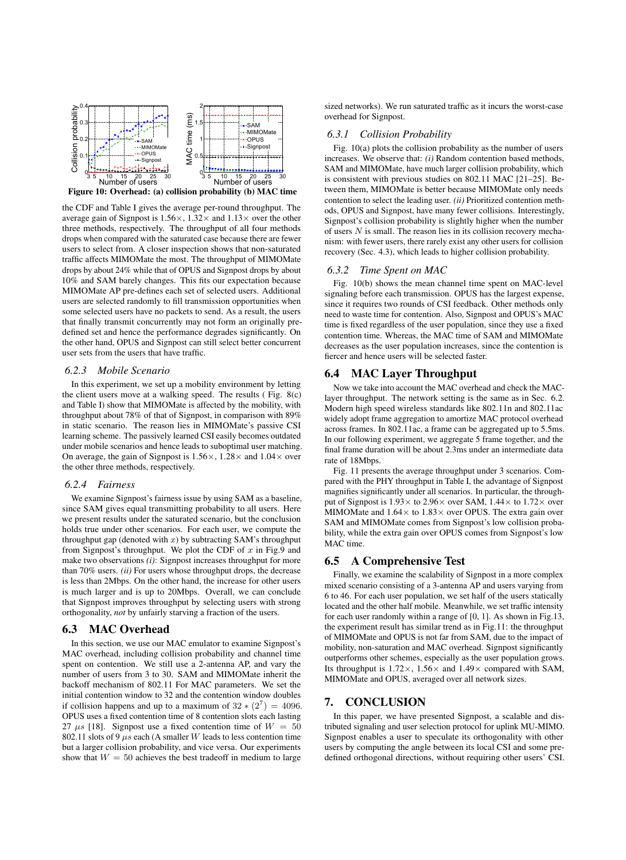

Figure 10: Overhead: (a) collision probability (b) MAC time

the CDF and Table I gives the average per-round throughput. The average gain of Signpost is  $1.56 \times$ ,  $1.32 \times$  and  $1.13 \times$  over the other three methods, respectively. The throughput of all four methods drops when compared with the saturated case because there are fewer users to select from. A closer inspection shows that non-saturated traffic affects MIMOMate the most. The throughput of MIMOMate drops by about 24% while that of OPUS and Signpost drops by about 10% and SAM barely changes. This fits our expectation because MIMOMate AP pre-defines each set of selected users. Additional users are selected randomly to fill transmission opportunities when some selected users have no packets to send. As a result, the users that finally transmit concurrently may not form an originally predefined set and hence the performance degrades significantly. On the other hand, OPUS and Signpost can still select better concurrent user sets from the users that have traffic.

# *6.2.3 Mobile Scenario*

In this experiment, we set up a mobility environment by letting the client users move at a walking speed. The results  $(Fig. 8(c))$ and Table I) show that MIMOMate is affected by the mobility, with throughput about 78% of that of Signpost, in comparison with 89% in static scenario. The reason lies in MIMOMate's passive CSI learning scheme. The passively learned CSI easily becomes outdated under mobile scenarios and hence leads to suboptimal user matching. On average, the gain of Signpost is  $1.56 \times$ ,  $1.28 \times$  and  $1.04 \times$  over the other three methods, respectively.

#### *6.2.4 Fairness*

We examine Signpost's fairness issue by using SAM as a baseline, since SAM gives equal transmitting probability to all users. Here we present results under the saturated scenario, but the conclusion holds true under other scenarios. For each user, we compute the throughput gap (denoted with  $x$ ) by subtracting SAM's throughput from Signpost's throughput. We plot the CDF of  $x$  in Fig.9 and make two observations *(i)*: Signpost increases throughput for more than 70% users. *(ii)* For users whose throughput drops, the decrease is less than 2Mbps. On the other hand, the increase for other users is much larger and is up to 20Mbps. Overall, we can conclude that Signpost improves throughput by selecting users with strong orthogonality, *not* by unfairly starving a fraction of the users.

# 6.3 MAC Overhead

In this section, we use our MAC emulator to examine Signpost's MAC overhead, including collision probability and channel time spent on contention. We still use a 2-antenna AP, and vary the number of users from 3 to 30. SAM and MIMOMate inherit the backoff mechanism of 802.11 For MAC parameters. We set the initial contention window to 32 and the contention window doubles if collision happens and up to a maximum of  $32 \times (2^7) = 4096$ . OPUS uses a fixed contention time of 8 contention slots each lasting 27  $\mu$ s [18]. Signpost use a fixed contention time of  $W = 50$ 802.11 slots of 9  $\mu$ s each (A smaller W leads to less contention time but a larger collision probability, and vice versa. Our experiments show that  $W = 50$  achieves the best tradeoff in medium to large

sized networks). We run saturated traffic as it incurs the worst-case overhead for Signpost.

#### *6.3.1 Collision Probability*

Fig. 10(a) plots the collision probability as the number of users increases. We observe that: *(i)* Random contention based methods, SAM and MIMOMate, have much larger collision probability, which is consistent with previous studies on 802.11 MAC [21–25]. Between them, MIMOMate is better because MIMOMate only needs contention to select the leading user. *(ii)* Prioritized contention methods, OPUS and Signpost, have many fewer collisions. Interestingly, Signpost's collision probability is slightly higher when the number of users  $N$  is small. The reason lies in its collision recovery mechanism: with fewer users, there rarely exist any other users for collision recovery (Sec. 4.3), which leads to higher collision probability.

#### *6.3.2 Time Spent on MAC*

Fig. 10(b) shows the mean channel time spent on MAC-level signaling before each transmission. OPUS has the largest expense, since it requires two rounds of CSI feedback. Other methods only need to waste time for contention. Also, Signpost and OPUS's MAC time is fixed regardless of the user population, since they use a fixed contention time. Whereas, the MAC time of SAM and MIMOMate decreases as the user population increases, since the contention is fiercer and hence users will be selected faster.

# 6.4 MAC Layer Throughput

Now we take into account the MAC overhead and check the MAClayer throughput. The network setting is the same as in Sec. 6.2. Modern high speed wireless standards like 802.11n and 802.11ac widely adopt frame aggregation to amortize MAC protocol overhead across frames. In 802.11ac, a frame can be aggregated up to 5.5ms. In our following experiment, we aggregate 5 frame together, and the final frame duration will be about 2.3ms under an intermediate data rate of 18Mbps.

Fig. 11 presents the average throughput under 3 scenarios. Compared with the PHY throughput in Table I, the advantage of Signpost magnifies significantly under all scenarios. In particular, the throughput of Signpost is  $1.93 \times$  to  $2.96 \times$  over SAM,  $1.44 \times$  to  $1.72 \times$  over MIMOMate and  $1.64 \times$  to  $1.83 \times$  over OPUS. The extra gain over SAM and MIMOMate comes from Signpost's low collision probability, while the extra gain over OPUS comes from Signpost's low MAC time.

## 6.5 A Comprehensive Test

Finally, we examine the scalability of Signpost in a more complex mixed scenario consisting of a 3-antenna AP and users varying from 6 to 46. For each user population, we set half of the users statically located and the other half mobile. Meanwhile, we set traffic intensity for each user randomly within a range of [0, 1]. As shown in Fig.13, the experiment result has similar trend as in Fig.11: the throughput of MIMOMate and OPUS is not far from SAM, due to the impact of mobility, non-saturation and MAC overhead. Signpost significantly outperforms other schemes, especially as the user population grows. Its throughput is  $1.72 \times$ ,  $1.56 \times$  and  $1.49 \times$  compared with SAM, MIMOMate and OPUS, averaged over all network sizes.

# 7. CONCLUSION

In this paper, we have presented Signpost, a scalable and distributed signaling and user selection protocol for uplink MU-MIMO. Signpost enables a user to speculate its orthogonality with other users by computing the angle between its local CSI and some predefined orthogonal directions, without requiring other users' CSI.